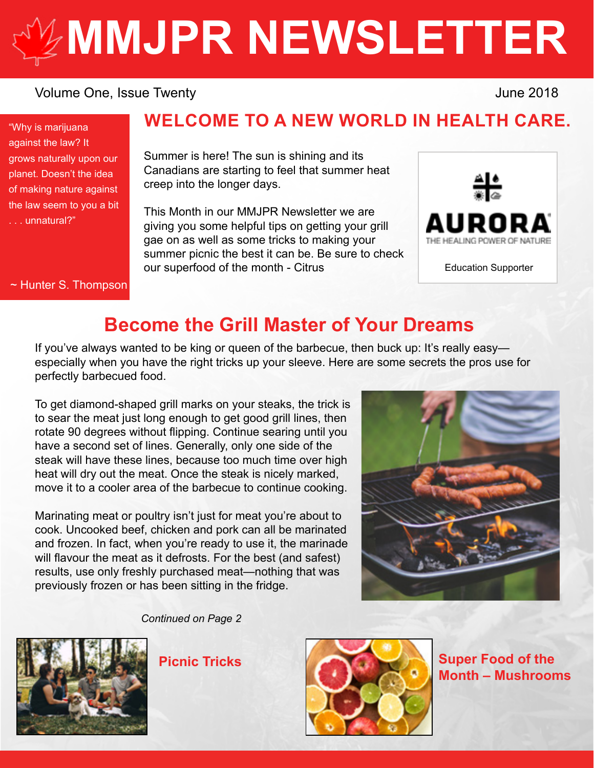# **[MMJPR NEWSLETTER](http://mmjpr.ca)**

#### Volume One, Issue Twenty **Volume 2018**

"Why is marijuana against the law? It grows naturally upon our planet. Doesn't the idea of making nature against the law seem to you a bit . . . unnatural?"

~ Hunter S. Thompson

## **WELCOME TO A NEW WORLD IN HEALTH CARE.**

Summer is here! The sun is shining and its Canadians are starting to feel that summer heat creep into the longer days.

This Month in our MMJPR Newsletter we are giving you some helpful tips on getting your grill gae on as well as some tricks to making your summer picnic the best it can be. Be sure to check our superfood of the month - Citrus



Education Supporter

# **Become the Grill Master of Your Dreams**

If you've always wanted to be king or queen of the barbecue, then buck up: It's really easyespecially when you have the right tricks up your sleeve. Here are some secrets the pros use for perfectly barbecued food.

To get diamond-shaped grill marks on your steaks, the trick is to sear the meat just long enough to get good grill lines, then rotate 90 degrees without flipping. Continue searing until you have a second set of lines. Generally, only one side of the steak will have these lines, because too much time over high heat will dry out the meat. Once the steak is nicely marked, move it to a cooler area of the barbecue to continue cooking.

Marinating meat or poultry isn't just for meat you're about to cook. Uncooked beef, chicken and pork can all be marinated and frozen. In fact, when you're ready to use it, the marinade will flavour the meat as it defrosts. For the best (and safest) results, use only freshly purchased meat—nothing that was previously frozen or has been sitting in the fridge.



*Continued on Page 2*





**Month – Mushrooms**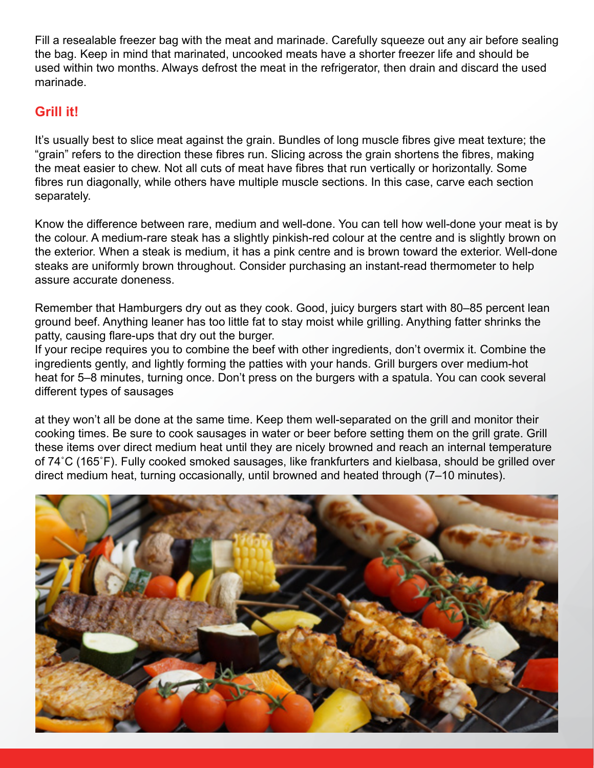Fill a resealable freezer bag with the meat and marinade. Carefully squeeze out any air before sealing the bag. Keep in mind that marinated, uncooked meats have a shorter freezer life and should be used within two months. Always defrost the meat in the refrigerator, then drain and discard the used marinade.

## **Grill it!**

It's usually best to slice meat against the grain. Bundles of long muscle fibres give meat texture; the "grain" refers to the direction these fibres run. Slicing across the grain shortens the fibres, making the meat easier to chew. Not all cuts of meat have fibres that run vertically or horizontally. Some fibres run diagonally, while others have multiple muscle sections. In this case, carve each section separately.

Know the difference between rare, medium and well-done. You can tell how well-done your meat is by the colour. A medium-rare steak has a slightly pinkish-red colour at the centre and is slightly brown on the exterior. When a steak is medium, it has a pink centre and is brown toward the exterior. Well-done steaks are uniformly brown throughout. Consider purchasing an instant-read thermometer to help assure accurate doneness.

Remember that Hamburgers dry out as they cook. Good, juicy burgers start with 80–85 percent lean ground beef. Anything leaner has too little fat to stay moist while grilling. Anything fatter shrinks the patty, causing flare-ups that dry out the burger.

If your recipe requires you to combine the beef with other ingredients, don't overmix it. Combine the ingredients gently, and lightly forming the patties with your hands. Grill burgers over medium-hot heat for 5–8 minutes, turning once. Don't press on the burgers with a spatula. You can cook several different types of sausages

at they won't all be done at the same time. Keep them well-separated on the grill and monitor their cooking times. Be sure to cook sausages in water or beer before setting them on the grill grate. Grill these items over direct medium heat until they are nicely browned and reach an internal temperature of 74˚C (165˚F). Fully cooked smoked sausages, like frankfurters and kielbasa, should be grilled over direct medium heat, turning occasionally, until browned and heated through (7–10 minutes).

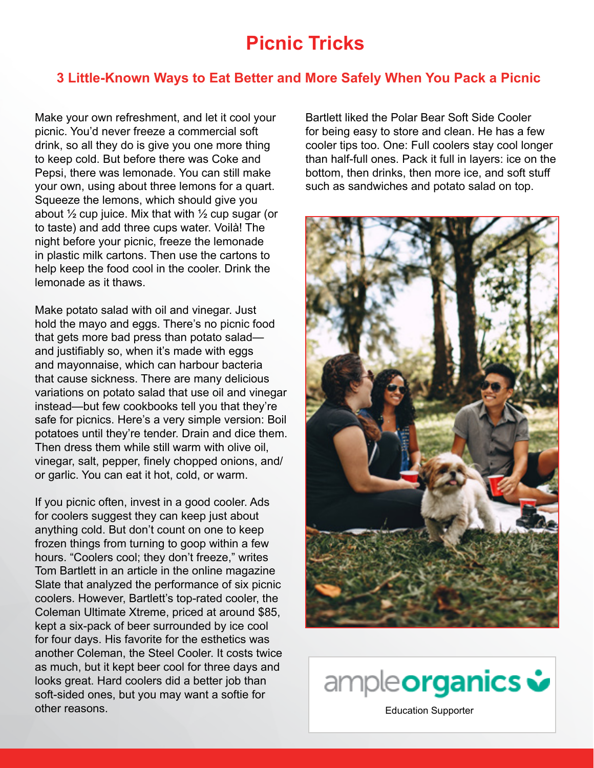## **Picnic Tricks**

#### **3 Little-Known Ways to Eat Better and More Safely When You Pack a Picnic**

Make your own refreshment, and let it cool your picnic. You'd never freeze a commercial soft drink, so all they do is give you one more thing to keep cold. But before there was Coke and Pepsi, there was lemonade. You can still make your own, using about three lemons for a quart. Squeeze the lemons, which should give you about  $\frac{1}{2}$  cup juice. Mix that with  $\frac{1}{2}$  cup sugar (or to taste) and add three cups water. Voilà! The night before your picnic, freeze the lemonade in plastic milk cartons. Then use the cartons to help keep the food cool in the cooler. Drink the lemonade as it thaws.

Make potato salad with oil and vinegar. Just hold the mayo and eggs. There's no picnic food that gets more bad press than potato salad and justifiably so, when it's made with eggs and mayonnaise, which can harbour bacteria that cause sickness. There are many delicious variations on potato salad that use oil and vinegar instead—but few cookbooks tell you that they're safe for picnics. Here's a very simple version: Boil potatoes until they're tender. Drain and dice them. Then dress them while still warm with olive oil, vinegar, salt, pepper, finely chopped onions, and/ or garlic. You can eat it hot, cold, or warm.

If you picnic often, invest in a good cooler. Ads for coolers suggest they can keep just about anything cold. But don't count on one to keep frozen things from turning to goop within a few hours. "Coolers cool; they don't freeze," writes Tom Bartlett in an article in the online magazine Slate that analyzed the performance of six picnic coolers. However, Bartlett's top-rated cooler, the Coleman Ultimate Xtreme, priced at around \$85, kept a six-pack of beer surrounded by ice cool for four days. His favorite for the esthetics was another Coleman, the Steel Cooler. It costs twice as much, but it kept beer cool for three days and looks great. Hard coolers did a better job than soft-sided ones, but you may want a softie for other reasons.

Bartlett liked the Polar Bear Soft Side Cooler for being easy to store and clean. He has a few cooler tips too. One: Full coolers stay cool longer than half-full ones. Pack it full in layers: ice on the bottom, then drinks, then more ice, and soft stuff such as sandwiches and potato salad on top.





[Education Supporter](https://ampleorganics.com/)